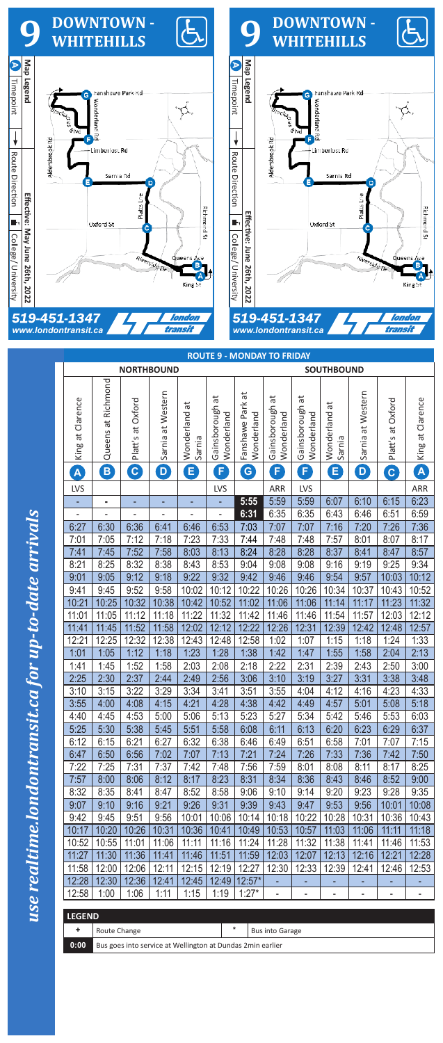use realtime.londontransit.ca for up-to-date arrivals *use realtime.londontransit.ca for up-to-date arrivals*



|                          | <b>NORTHBOUND</b>                                          |                    |                      |                           |                               |                                  | <b>SOUTHBOUND</b>             |                               |                          |                      |                          |                              |  |  |
|--------------------------|------------------------------------------------------------|--------------------|----------------------|---------------------------|-------------------------------|----------------------------------|-------------------------------|-------------------------------|--------------------------|----------------------|--------------------------|------------------------------|--|--|
| King at Clarence         | Queens at Richmond                                         | Platt's at Oxford  | Sarnia at Western    | ã<br>Wonderland<br>Sarnia | Gainsborough at<br>Wonderland | đ<br>Fanshawe Park<br>Wonderland | Gainsborough at<br>Wonderland | Gainsborough at<br>Wonderland | Wonderland at<br>Sarnia  | Sarnia at Western    | Oxford<br>Platt's at     | King at Clarence             |  |  |
| A                        | B                                                          | $\boxed{\text{c}}$ | $\boxed{\mathsf{D}}$ | B                         | F                             | G                                | F)                            | $\mathsf{F}$                  | $\bm{\mathsf{E}}$        | $\boxed{\mathbf{D}}$ | $\mathbf{C}$             | A                            |  |  |
| <b>LVS</b>               |                                                            |                    |                      |                           | <b>LVS</b>                    |                                  | ARR                           | LVS                           |                          |                      |                          | ARR                          |  |  |
|                          | ٠                                                          |                    |                      |                           |                               | 5:55                             | 5:59                          | 5:59                          | 6:07                     | 6:10                 | 6:15                     | 6:23                         |  |  |
| $\overline{\phantom{0}}$ |                                                            |                    |                      | $\overline{a}$            | $\overline{\phantom{0}}$      | 6:31                             | 6:35                          | 6:35                          | 6:43                     | 6:46                 | 6:51                     | 6:59                         |  |  |
| 6:27                     | 6:30                                                       | 6:36               | 6:41                 | 6:46                      | 6:53                          | 7:03                             | 7:07                          | 7:07                          | 7:16                     | 7:20                 | 7:26                     | 7:36                         |  |  |
| 7:01                     | 7:05                                                       | 7:12               | 7:18                 | 7:23                      | 7:33                          | 7:44                             | 7:48                          | 7:48                          | 7:57                     | 8:01                 | 8:07                     | 8:17                         |  |  |
| 7:41                     | 7:45                                                       | 7:52               | 7:58                 | 8:03                      | 8:13                          | 8:24                             | 8:28                          | 8:28                          | 8:37                     | 8:41                 | 8:47                     | 8:57                         |  |  |
| 8:21                     | 8:25                                                       | 8:32               | 8:38                 | 8:43                      | 8:53                          | 9:04                             | 9:08                          | 9:08                          | 9:16                     | 9:19                 | 9:25                     | 9:34                         |  |  |
| 9:01                     | 9:05                                                       | 9:12               | 9:18                 | 9:22                      | 9:32                          | 9:42                             | 9:46                          | 9:46                          | 9:54                     | 9:57                 | 10:03                    | 10:12                        |  |  |
| 9:41                     | 9:45                                                       | 9:52               | 9:58                 | 10:02                     | 10:12                         | 10:22                            | 10:26                         | 10:26                         | 10:34                    | 10:37                | 10:43                    | 10:52                        |  |  |
| 10:21                    | 10:25                                                      | 10:32              | 10:38                | 10:42                     | 10:52                         | 11:02                            | 11:06                         | 11:06                         | 11:14                    | 11:17                | 11:23                    | 11:32                        |  |  |
| 11:01                    | 11:05                                                      | 11:12              | 11:18                | 11:22                     | 11:32                         | 11:42                            | 11:46                         | 11:46                         | 11:54                    | 11:57                | 12:03                    | 12:12                        |  |  |
| 11:41                    | 11:45                                                      | 11:52              | 11:58                | 12:02                     | 12:12                         | 12:22                            | 12:26                         | 12:31                         | 12:39                    | 12:42                | 12:48                    | 12:57                        |  |  |
| 12:21                    | 12:25                                                      | 12:32              | 12:38                | 12:43                     | 12:48                         | 12:58                            | 1:02                          | 1:07                          | 1:15                     | 1:18                 | 1:24                     | 1:33                         |  |  |
| 1:01                     | 1:05                                                       | 1:12               | 1:18                 | 1:23                      | 1:28                          | 1:38                             | 1:42                          | 1:47                          | 1:55                     | 1:58                 | 2:04                     | 2:13                         |  |  |
| 1:41                     | 1:45                                                       | 1:52               | 1:58                 | 2:03                      | 2:08                          | 2:18                             | 2:22                          | 2:31                          | 2:39                     | 2:43                 | 2:50                     | 3:00                         |  |  |
| 2:25                     | 2:30                                                       | 2:37               | 2:44                 | 2:49                      | 2:56                          | 3:06                             | 3:10                          | 3:19                          | 3:27                     | 3:31                 | 3:38                     | 3:48                         |  |  |
| 3:10                     | 3:15                                                       | 3:22               | 3:29                 | 3:34                      | 3:41                          | 3:51                             | 3:55                          | 4:04                          | 4:12                     | 4:16                 | 4:23                     | 4:33                         |  |  |
| 3:55                     | 4:00                                                       | 4:08               | 4:15                 | 4:21                      | 4:28                          | 4:38                             | 4:42                          | 4:49                          | 4:57                     | 5:01                 | 5:08                     | 5:18                         |  |  |
| 4:40                     | 4:45                                                       | 4:53               | 5:00                 | 5:06                      | 5:13                          | 5:23                             | 5:27                          | 5:34                          | 5:42                     | 5:46                 | 5:53                     | 6:03                         |  |  |
| 5:25                     | 5:30                                                       | 5:38               | 5:45                 | 5:51                      | 5:58                          | 6:08                             | 6:11                          | 6:13                          | 6:20                     | 6:23                 | 6:29                     | 6:37                         |  |  |
| 6:12                     | 6:15                                                       | 6:21               | 6:27                 | 6:32                      | 6:38                          | 6:46                             | 6:49                          | 6:51                          | 6:58                     | 7:01                 | 7:07                     | 7:15                         |  |  |
| 6:47                     | 6:50                                                       | 6:56               | 7:02                 | 7:07                      | 7:13                          | 7:21                             | 7:24                          | 7:26                          | 7:33                     | 7:36                 | 7:42                     | 7:50                         |  |  |
| 7:22                     | 7:25                                                       | 7:31               | 7:37                 | 7:42                      | 7:48                          | 7:56                             | 7:59                          | 8:01                          | 8:08                     | 8:11                 | 8:17                     | 8:25                         |  |  |
| 7:57                     | 8:00                                                       | 8:06               | 8:12                 | 8:17                      | 8:23                          | 8:31                             | 8:34                          | 8:36                          | 8:43                     | 8:46                 | 8:52                     | 9:00                         |  |  |
| 8:32                     | 8:35                                                       | 8:41               | 8:47                 | 8:52                      | 8:58                          | 9:06                             | 9:10                          | 9:14                          | 9:20                     | 9:23                 | 9:28                     | 9:35                         |  |  |
| 9:07                     | 9:10                                                       | 9:16               | 9:21                 | 9:26                      | 9:31                          | 9:39                             | 9:43                          | 9:47                          | 9:53                     | 9:56                 | 10:01                    | 10:08                        |  |  |
| 9:42                     | 9:45                                                       | 9:51               | 9:56                 | 10:01                     | 10:06                         | 10:14                            | 10:18                         | 10:22                         | 10:28                    | 10:31                | 10:36                    | 10:43                        |  |  |
| 10:17                    | 10:20                                                      | 10:26              | 10:31                | 10:36                     | 10:41                         | 10:49                            | 10:53                         | 10:57                         | 11:03                    | 11:06                | 11:11                    | 11:18                        |  |  |
| 10:52                    | 10:55                                                      | 11:01              | 11:06                | 11:11                     | 11:16                         | 11:24                            | 11:28                         | 11:32                         | 11:38                    | 11:41                | 11:46                    | 11:53                        |  |  |
| 11:27                    | 11:30                                                      | 11:36              | 11:41                | 11:46                     | 11:51                         | 11:59                            | 12:03                         | 12:07                         | 12:13                    | 12:16                | 12:21                    | 12:28                        |  |  |
| 11:58                    | 12:00                                                      | 12:06              | 12:11                | 12:15                     | 12:19                         | 12:27                            | 12:30                         | 12:33                         | 12:39                    | 12:41                | 12:46                    | 12:53                        |  |  |
| 12:28                    | 12:30                                                      | 12:36              | 12:41                | 12:45                     | 12:49                         | $12:57*$                         |                               |                               |                          |                      |                          |                              |  |  |
| 12:58                    | 1:00                                                       | 1:06               | 1:11                 | 1:15                      | 1:19                          | $1:27*$                          | $\qquad \qquad \blacksquare$  | $\qquad \qquad \blacksquare$  | $\overline{\phantom{0}}$ | -                    | $\overline{\phantom{0}}$ | $\qquad \qquad \blacksquare$ |  |  |
|                          |                                                            |                    |                      |                           |                               |                                  |                               |                               |                          |                      |                          |                              |  |  |
| <b>LEGEND</b>            |                                                            |                    |                      |                           |                               |                                  |                               |                               |                          |                      |                          |                              |  |  |
| $\ddot{}$                | $\star$<br>Route Change<br><b>Bus into Garage</b>          |                    |                      |                           |                               |                                  |                               |                               |                          |                      |                          |                              |  |  |
| 0:00                     | Bus goes into service at Wellington at Dundas 2min earlier |                    |                      |                           |                               |                                  |                               |                               |                          |                      |                          |                              |  |  |

## **LEGEND**

|      | I LEGEND                                                   |   |                        |  |  |  |  |  |  |  |
|------|------------------------------------------------------------|---|------------------------|--|--|--|--|--|--|--|
|      | Route Change                                               | * | <b>Bus into Garage</b> |  |  |  |  |  |  |  |
| 0:00 | Bus goes into service at Wellington at Dundas 2min earlier |   |                        |  |  |  |  |  |  |  |